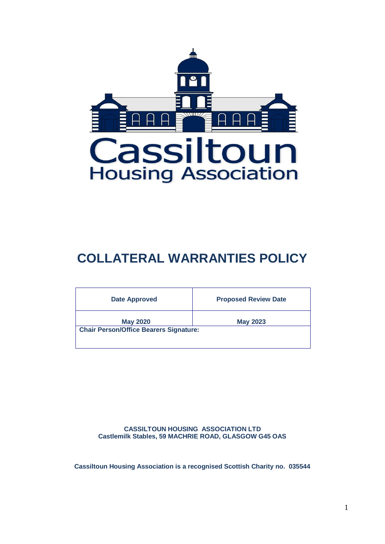

# **COLLATERAL WARRANTIES POLICY**

| <b>Date Approved</b>                          | <b>Proposed Review Date</b> |
|-----------------------------------------------|-----------------------------|
| <b>May 2020</b>                               | <b>May 2023</b>             |
| <b>Chair Person/Office Bearers Signature:</b> |                             |
|                                               |                             |

**CASSILTOUN HOUSING ASSOCIATION LTD Castlemilk Stables, 59 MACHRIE ROAD, GLASGOW G45 OAS**

**Cassiltoun Housing Association is a recognised Scottish Charity no. 035544**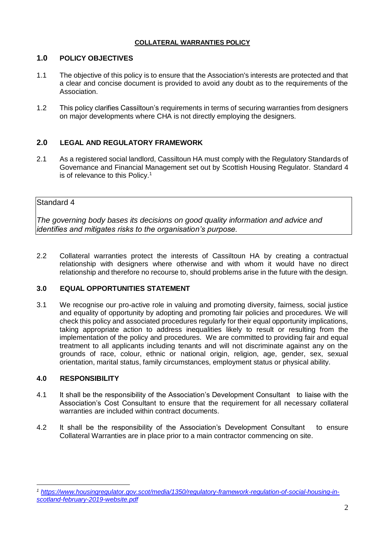### **COLLATERAL WARRANTIES POLICY**

# **1.0 POLICY OBJECTIVES**

- 1.1 The objective of this policy is to ensure that the Association's interests are protected and that a clear and concise document is provided to avoid any doubt as to the requirements of the Association.
- 1.2 This policy clarifies Cassiltoun's requirements in terms of securing warranties from designers on major developments where CHA is not directly employing the designers.

# **2.0 LEGAL AND REGULATORY FRAMEWORK**

2.1 As a registered social landlord, Cassiltoun HA must comply with the Regulatory Standards of Governance and Financial Management set out by Scottish Housing Regulator. Standard 4 is of relevance to this Policy.<sup>1</sup>

## Standard 4

*The governing body bases its decisions on good quality information and advice and identifies and mitigates risks to the organisation's purpose.* 

2.2 Collateral warranties protect the interests of Cassiltoun HA by creating a contractual relationship with designers where otherwise and with whom it would have no direct relationship and therefore no recourse to, should problems arise in the future with the design.

## **3.0 EQUAL OPPORTUNITIES STATEMENT**

3.1 We recognise our pro-active role in valuing and promoting diversity, fairness, social justice and equality of opportunity by adopting and promoting fair policies and procedures. We will check this policy and associated procedures regularly for their equal opportunity implications, taking appropriate action to address inequalities likely to result or resulting from the implementation of the policy and procedures. We are committed to providing fair and equal treatment to all applicants including tenants and will not discriminate against any on the grounds of race, colour, ethnic or national origin, religion, age, gender, sex, sexual orientation, marital status, family circumstances, employment status or physical ability.

### **4.0 RESPONSIBILITY**

1

- 4.1 It shall be the responsibility of the Association's Development Consultant to liaise with the Association's Cost Consultant to ensure that the requirement for all necessary collateral warranties are included within contract documents.
- 4.2 It shall be the responsibility of the Association's Development Consultant to ensure Collateral Warranties are in place prior to a main contractor commencing on site.

*<sup>1</sup> [https://www.housingregulator.gov.scot/media/1350/regulatory-framework-regulation-of-social-housing-in](https://www.housingregulator.gov.scot/media/1350/regulatory-framework-regulation-of-social-housing-in-scotland-february-2019-website.pdf)[scotland-february-2019-website.pdf](https://www.housingregulator.gov.scot/media/1350/regulatory-framework-regulation-of-social-housing-in-scotland-february-2019-website.pdf)*